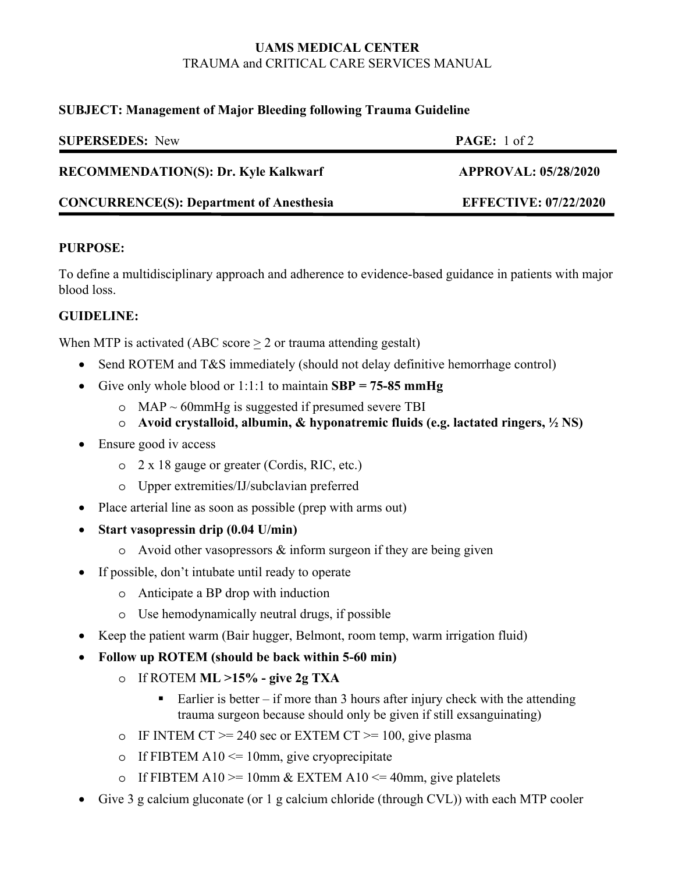# **UAMS MEDICAL CENTER**  TRAUMA and CRITICAL CARE SERVICES MANUAL

#### **SUBJECT: Management of Major Bleeding following Trauma Guideline**

| <b>SUPERSEDES:</b> New                          | PAGE: 1 of 2                 |
|-------------------------------------------------|------------------------------|
| <b>RECOMMENDATION(S): Dr. Kyle Kalkwarf</b>     | <b>APPROVAL: 05/28/2020</b>  |
| <b>CONCURRENCE(S): Department of Anesthesia</b> | <b>EFFECTIVE: 07/22/2020</b> |

### **PURPOSE:**

To define a multidisciplinary approach and adherence to evidence-based guidance in patients with major blood loss.

# **GUIDELINE:**

When MTP is activated (ABC score  $\geq 2$  or trauma attending gestalt)

- Send ROTEM and T&S immediately (should not delay definitive hemorrhage control)
- Give only whole blood or 1:1:1 to maintain **SBP = 75-85 mmHg**
	- $\circ$  MAP ~ 60mmHg is suggested if presumed severe TBI
	- o **Avoid crystalloid, albumin, & hyponatremic fluids (e.g. lactated ringers, ½ NS)**
- Ensure good iv access
	- o 2 x 18 gauge or greater (Cordis, RIC, etc.)
	- o Upper extremities/IJ/subclavian preferred
- Place arterial line as soon as possible (prep with arms out)
- **Start vasopressin drip (0.04 U/min)**
	- $\circ$  Avoid other vasopressors & inform surgeon if they are being given
- If possible, don't intubate until ready to operate
	- o Anticipate a BP drop with induction
	- o Use hemodynamically neutral drugs, if possible
- Keep the patient warm (Bair hugger, Belmont, room temp, warm irrigation fluid)
- **Follow up ROTEM (should be back within 5-60 min)**
	- o If ROTEM **ML >15% give 2g TXA**
		- Earlier is better if more than 3 hours after injury check with the attending trauma surgeon because should only be given if still exsanguinating)
	- o IF INTEM CT  $>= 240$  sec or EXTEM CT  $>= 100$ , give plasma
	- o If FIBTEM A10  $\leq$  10mm, give cryoprecipitate
	- o If FIBTEM A10  $> = 10$ mm & EXTEM A10  $\leq$  40mm, give platelets
- Give 3 g calcium gluconate (or 1 g calcium chloride (through CVL)) with each MTP cooler